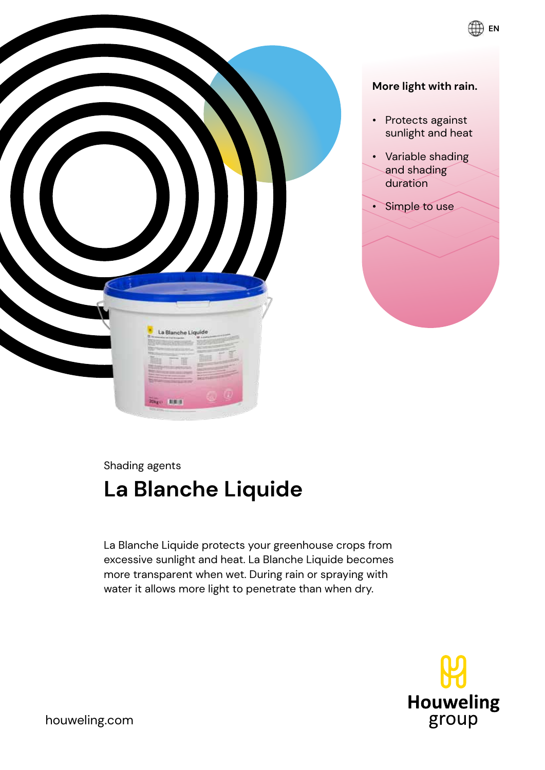

#### **More light with rain.**

**EN**

- Protects against sunlight and heat
- Variable shading and shading duration
- Simple to use

Shading agents

# **La Blanche Liquide**

La Blanche Liquide protects your greenhouse crops from excessive sunlight and heat. La Blanche Liquide becomes more transparent when wet. During rain or spraying with water it allows more light to penetrate than when dry.